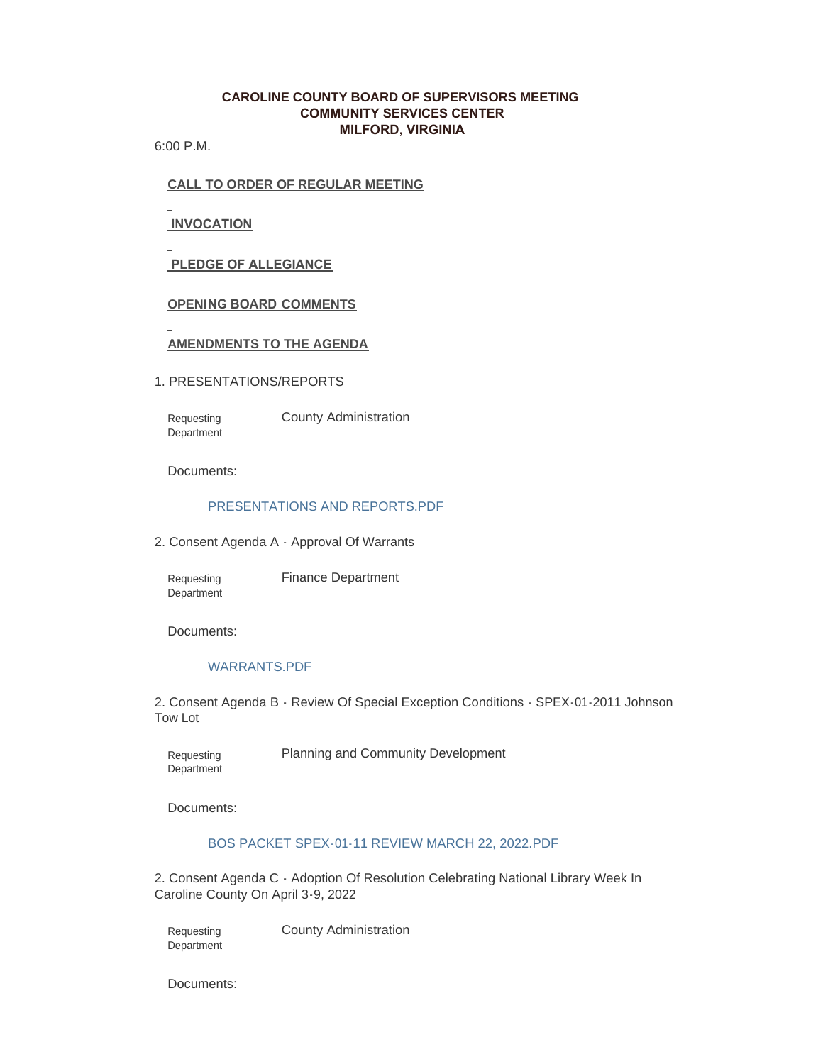## **CAROLINE COUNTY BOARD OF SUPERVISORS MEETING COMMUNITY SERVICES CENTER MILFORD, VIRGINIA**

6:00 P.M.

#### **CALL TO ORDER OF REGULAR MEETING**

#### **INVOCATION**

## **PLEDGE OF ALLEGIANCE**

#### **OPENING BOARD COMMENTS**

#### **AMENDMENTS TO THE AGENDA**

1. PRESENTATIONS/REPORTS

County Administration Requesting **Department** 

Documents:

## [PRESENTATIONS AND REPORTS.PDF](https://co.caroline.va.us/AgendaCenter/ViewFile/Item/5063?fileID=8673)

2. Consent Agenda A - Approval Of Warrants

Finance Department Requesting Department

Documents:

#### [WARRANTS.PDF](https://co.caroline.va.us/AgendaCenter/ViewFile/Item/5070?fileID=8674)

2. Consent Agenda B - Review Of Special Exception Conditions - SPEX-01-2011 Johnson Tow Lot

Requesting Department Planning and Community Development

Documents:

## [BOS PACKET SPEX-01-11 REVIEW MARCH 22, 2022.PDF](https://co.caroline.va.us/AgendaCenter/ViewFile/Item/5068?fileID=8667)

2. Consent Agenda C - Adoption Of Resolution Celebrating National Library Week In Caroline County On April 3-9, 2022

Requesting Department County Administration

Documents: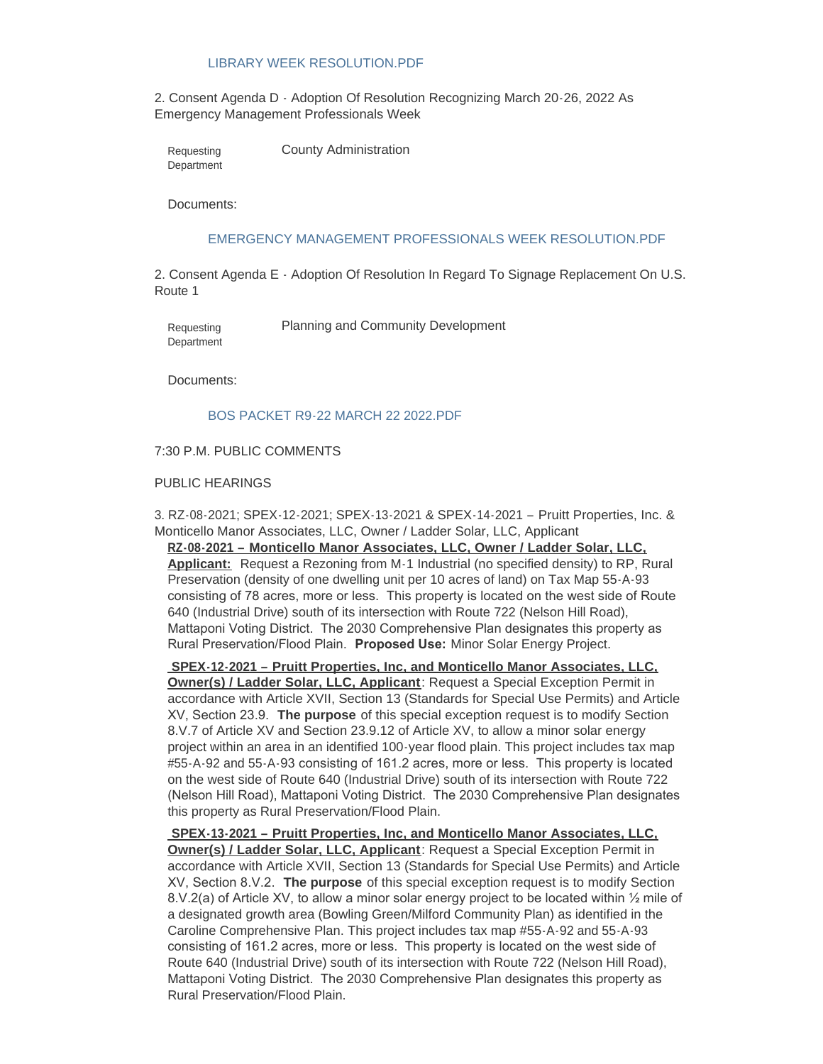#### [LIBRARY WEEK RESOLUTION.PDF](https://co.caroline.va.us/AgendaCenter/ViewFile/Item/5072?fileID=8672)

2. Consent Agenda D - Adoption Of Resolution Recognizing March 20-26, 2022 As Emergency Management Professionals Week

Requesting **Department**  County Administration

Documents:

#### [EMERGENCY MANAGEMENT PROFESSIONALS WEEK RESOLUTION.PDF](https://co.caroline.va.us/AgendaCenter/ViewFile/Item/5074?fileID=8675)

2. Consent Agenda E - Adoption Of Resolution In Regard To Signage Replacement On U.S. Route 1

Requesting **Department**  Planning and Community Development

Documents:

#### [BOS PACKET R9-22 MARCH 22 2022.PDF](https://co.caroline.va.us/AgendaCenter/ViewFile/Item/5067?fileID=8666)

#### 7:30 P.M. PUBLIC COMMENTS

#### PUBLIC HEARINGS

3. RZ-08-2021; SPEX-12-2021; SPEX-13-2021 & SPEX-14-2021 – Pruitt Properties, Inc. & Monticello Manor Associates, LLC, Owner / Ladder Solar, LLC, Applicant

**RZ-08-2021 – Monticello Manor Associates, LLC, Owner / Ladder Solar, LLC, Applicant:** Request a Rezoning from M-1 Industrial (no specified density) to RP, Rural Preservation (density of one dwelling unit per 10 acres of land) on Tax Map 55-A-93 consisting of 78 acres, more or less. This property is located on the west side of Route 640 (Industrial Drive) south of its intersection with Route 722 (Nelson Hill Road), Mattaponi Voting District. The 2030 Comprehensive Plan designates this property as Rural Preservation/Flood Plain. **Proposed Use:** Minor Solar Energy Project.

**SPEX-12-2021 – Pruitt Properties, Inc, and Monticello Manor Associates, LLC, Owner(s) / Ladder Solar, LLC, Applicant**: Request a Special Exception Permit in accordance with Article XVII, Section 13 (Standards for Special Use Permits) and Article XV, Section 23.9. **The purpose** of this special exception request is to modify Section 8.V.7 of Article XV and Section 23.9.12 of Article XV, to allow a minor solar energy project within an area in an identified 100-year flood plain. This project includes tax map #55-A-92 and 55-A-93 consisting of 161.2 acres, more or less. This property is located on the west side of Route 640 (Industrial Drive) south of its intersection with Route 722 (Nelson Hill Road), Mattaponi Voting District. The 2030 Comprehensive Plan designates this property as Rural Preservation/Flood Plain.

**SPEX-13-2021 – Pruitt Properties, Inc, and Monticello Manor Associates, LLC, Owner(s) / Ladder Solar, LLC, Applicant**: Request a Special Exception Permit in accordance with Article XVII, Section 13 (Standards for Special Use Permits) and Article XV, Section 8.V.2. **The purpose** of this special exception request is to modify Section 8.V.2(a) of Article XV, to allow a minor solar energy project to be located within  $\frac{1}{2}$  mile of a designated growth area (Bowling Green/Milford Community Plan) as identified in the Caroline Comprehensive Plan. This project includes tax map #55-A-92 and 55-A-93 consisting of 161.2 acres, more or less. This property is located on the west side of Route 640 (Industrial Drive) south of its intersection with Route 722 (Nelson Hill Road), Mattaponi Voting District. The 2030 Comprehensive Plan designates this property as Rural Preservation/Flood Plain.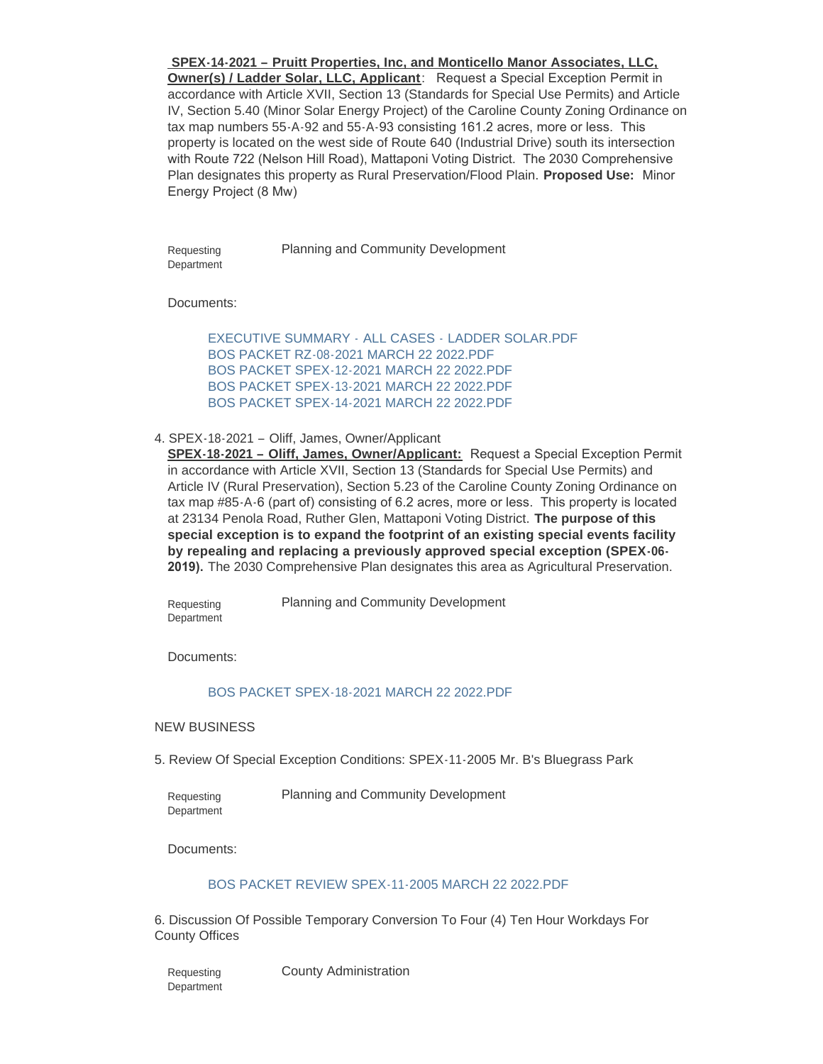**SPEX-14-2021 – Pruitt Properties, Inc, and Monticello Manor Associates, LLC, Owner(s) / Ladder Solar, LLC, Applicant**: Request a Special Exception Permit in accordance with Article XVII, Section 13 (Standards for Special Use Permits) and Article IV, Section 5.40 (Minor Solar Energy Project) of the Caroline County Zoning Ordinance on tax map numbers 55-A-92 and 55-A-93 consisting 161.2 acres, more or less. This property is located on the west side of Route 640 (Industrial Drive) south its intersection with Route 722 (Nelson Hill Road), Mattaponi Voting District. The 2030 Comprehensive Plan designates this property as Rural Preservation/Flood Plain. **Proposed Use:** Minor Energy Project (8 Mw)

Requesting **Department**  Planning and Community Development

Documents:

[EXECUTIVE SUMMARY -](https://co.caroline.va.us/AgendaCenter/ViewFile/Item/5065?fileID=8661) ALL CASES - LADDER SOLAR.PDF [BOS PACKET RZ-08-2021 MARCH 22 2022.PDF](https://co.caroline.va.us/AgendaCenter/ViewFile/Item/5065?fileID=8665) [BOS PACKET SPEX-12-2021 MARCH 22 2022.PDF](https://co.caroline.va.us/AgendaCenter/ViewFile/Item/5065?fileID=8662) [BOS PACKET SPEX-13-2021 MARCH 22 2022.PDF](https://co.caroline.va.us/AgendaCenter/ViewFile/Item/5065?fileID=8663) [BOS PACKET SPEX-14-2021 MARCH 22 2022.PDF](https://co.caroline.va.us/AgendaCenter/ViewFile/Item/5065?fileID=8664)

4. SPEX-18-2021 – Oliff, James, Owner/Applicant

**SPEX-18-2021 – Oliff, James, Owner/Applicant:** Request a Special Exception Permit in accordance with Article XVII, Section 13 (Standards for Special Use Permits) and Article IV (Rural Preservation), Section 5.23 of the Caroline County Zoning Ordinance on tax map #85-A-6 (part of) consisting of 6.2 acres, more or less. This property is located at 23134 Penola Road, Ruther Glen, Mattaponi Voting District. **The purpose of this special exception is to expand the footprint of an existing special events facility by repealing and replacing a previously approved special exception (SPEX-06- 2019).** The 2030 Comprehensive Plan designates this area as Agricultural Preservation.

Planning and Community Development Requesting

**Department** 

Documents:

[BOS PACKET SPEX-18-2021 MARCH 22 2022.PDF](https://co.caroline.va.us/AgendaCenter/ViewFile/Item/5066?fileID=8669)

## NEW BUSINESS

5. Review Of Special Exception Conditions: SPEX-11-2005 Mr. B's Bluegrass Park

Planning and Community Development Requesting **Department** 

Documents:

## [BOS PACKET REVIEW SPEX-11-2005 MARCH 22 2022.PDF](https://co.caroline.va.us/AgendaCenter/ViewFile/Item/5069?fileID=8668)

6. Discussion Of Possible Temporary Conversion To Four (4) Ten Hour Workdays For County Offices

**Requesting Department**  County Administration